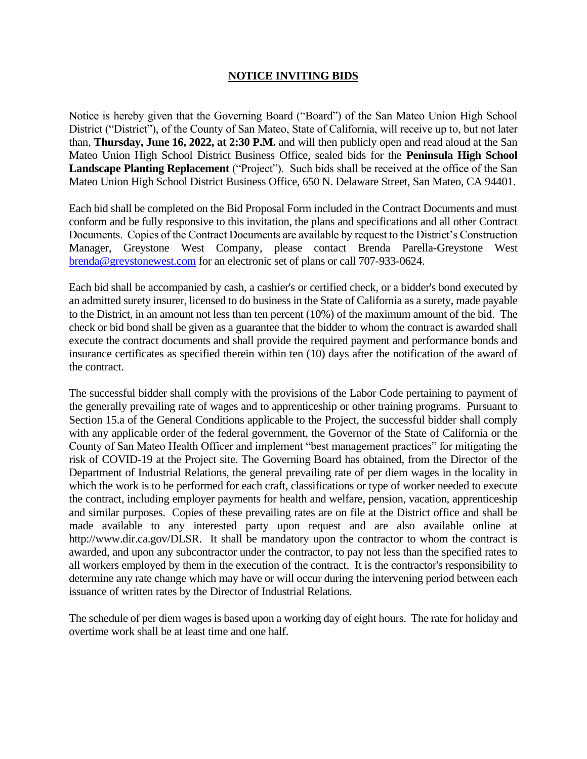## **NOTICE INVITING BIDS**

Notice is hereby given that the Governing Board ("Board") of the San Mateo Union High School District ("District"), of the County of San Mateo, State of California, will receive up to, but not later than, **Thursday, June 16, 2022, at 2:30 P.M.** and will then publicly open and read aloud at the San Mateo Union High School District Business Office, sealed bids for the **Peninsula High School Landscape Planting Replacement** ("Project"). Such bids shall be received at the office of the San Mateo Union High School District Business Office, 650 N. Delaware Street, San Mateo, CA 94401.

Each bid shall be completed on the Bid Proposal Form included in the Contract Documents and must conform and be fully responsive to this invitation, the plans and specifications and all other Contract Documents. Copies of the Contract Documents are available by request to the District's Construction Manager, Greystone West Company, please contact Brenda Parella-Greystone West [brenda@greystonewest.com](mailto:brenda@greystonewest.com) for an electronic set of plans or call 707-933-0624.

Each bid shall be accompanied by cash, a cashier's or certified check, or a bidder's bond executed by an admitted surety insurer, licensed to do business in the State of California as a surety, made payable to the District, in an amount not less than ten percent (10%) of the maximum amount of the bid. The check or bid bond shall be given as a guarantee that the bidder to whom the contract is awarded shall execute the contract documents and shall provide the required payment and performance bonds and insurance certificates as specified therein within ten (10) days after the notification of the award of the contract.

The successful bidder shall comply with the provisions of the Labor Code pertaining to payment of the generally prevailing rate of wages and to apprenticeship or other training programs. Pursuant to Section 15.a of the General Conditions applicable to the Project, the successful bidder shall comply with any applicable order of the federal government, the Governor of the State of California or the County of San Mateo Health Officer and implement "best management practices" for mitigating the risk of COVID-19 at the Project site. The Governing Board has obtained, from the Director of the Department of Industrial Relations, the general prevailing rate of per diem wages in the locality in which the work is to be performed for each craft, classifications or type of worker needed to execute the contract, including employer payments for health and welfare, pension, vacation, apprenticeship and similar purposes. Copies of these prevailing rates are on file at the District office and shall be made available to any interested party upon request and are also available online at http://www.dir.ca.gov/DLSR. It shall be mandatory upon the contractor to whom the contract is awarded, and upon any subcontractor under the contractor, to pay not less than the specified rates to all workers employed by them in the execution of the contract. It is the contractor's responsibility to determine any rate change which may have or will occur during the intervening period between each issuance of written rates by the Director of Industrial Relations.

The schedule of per diem wages is based upon a working day of eight hours. The rate for holiday and overtime work shall be at least time and one half.